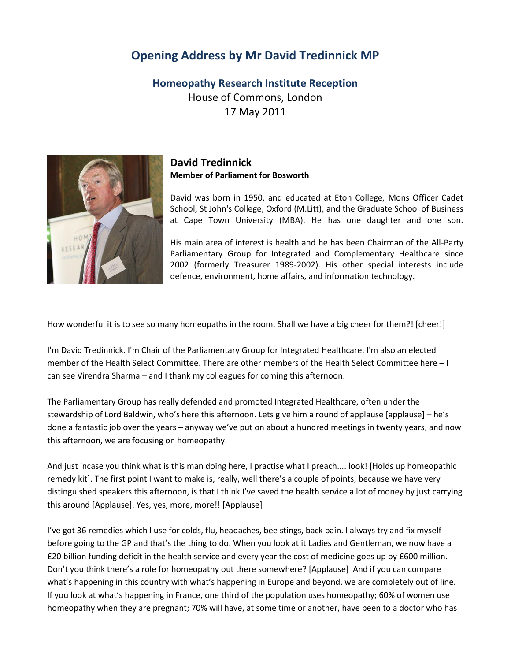## **Opening Address by Mr David Tredinnick MP**

**Homeopathy Research Institute Reception** House of Commons, London 17 May 2011



## **David Tredinnick Member of Parliament for Bosworth**

David was born in 1950, and educated at Eton College, Mons Officer Cadet School, St John's College, Oxford (M.Litt), and the Graduate School of Business at Cape Town University (MBA). He has one daughter and one son.

His main area of interest is health and he has been Chairman of the All-Party Parliamentary Group for Integrated and Complementary Healthcare since 2002 (formerly Treasurer 1989-2002). His other special interests include defence, environment, home affairs, and information technology.

How wonderful it is to see so many homeopaths in the room. Shall we have a big cheer for them?! [cheer!]

I'm David Tredinnick. I'm Chair of the Parliamentary Group for Integrated Healthcare. I'm also an elected member of the Health Select Committee. There are other members of the Health Select Committee here – I can see Virendra Sharma – and I thank my colleagues for coming this afternoon.

The Parliamentary Group has really defended and promoted Integrated Healthcare, often under the stewardship of Lord Baldwin, who's here this afternoon. Lets give him a round of applause [applause] – he's done a fantastic job over the years – anyway we've put on about a hundred meetings in twenty years, and now this afternoon, we are focusing on homeopathy.

And just incase you think what is this man doing here, I practise what I preach.... look! [Holds up homeopathic remedy kit]. The first point I want to make is, really, well there's a couple of points, because we have very distinguished speakers this afternoon, is that I think I've saved the health service a lot of money by just carrying this around [Applause]. Yes, yes, more, more!! [Applause]

I've got 36 remedies which I use for colds, flu, headaches, bee stings, back pain. I always try and fix myself before going to the GP and that's the thing to do. When you look at it Ladies and Gentleman, we now have a £20 billion funding deficit in the health service and every year the cost of medicine goes up by £600 million. Don't you think there's a role for homeopathy out there somewhere? [Applause] And if you can compare what's happening in this country with what's happening in Europe and beyond, we are completely out of line. If you look at what's happening in France, one third of the population uses homeopathy; 60% of women use homeopathy when they are pregnant; 70% will have, at some time or another, have been to a doctor who has